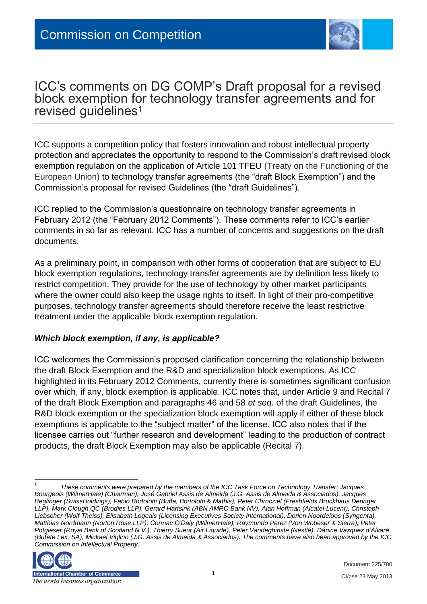

# ICC's comments on DG COMP's Draft proposal for a revised block exemption for technology transfer agreements and for revised guidelines<sup>1</sup>

ICC supports a competition policy that fosters innovation and robust intellectual property protection and appreciates the opportunity to respond to the Commission's draft revised block exemption regulation on the application of Article 101 TFEU (Treaty on the Functioning of the European Union) to technology transfer agreements (the "draft Block Exemption") and the Commission's proposal for revised Guidelines (the "draft Guidelines").

ICC replied to the Commission's questionnaire on technology transfer agreements in February 2012 (the "February 2012 Comments"). These comments refer to ICC's earlier comments in so far as relevant. ICC has a number of concerns and suggestions on the draft documents.

As a preliminary point, in comparison with other forms of cooperation that are subject to EU block exemption regulations, technology transfer agreements are by definition less likely to restrict competition. They provide for the use of technology by other market participants where the owner could also keep the usage rights to itself. In light of their pro-competitive purposes, technology transfer agreements should therefore receive the least restrictive treatment under the applicable block exemption regulation.

### *Which block exemption, if any, is applicable?*

ICC welcomes the Commission's proposed clarification concerning the relationship between the draft Block Exemption and the R&D and specialization block exemptions. As ICC highlighted in its February 2012 Comments, currently there is sometimes significant confusion over which, if any, block exemption is applicable. ICC notes that, under Article 9 and Recital 7 of the draft Block Exemption and paragraphs 46 and 58 *et seq.* of the draft Guidelines, the R&D block exemption or the specialization block exemption will apply if either of these block exemptions is applicable to the "subject matter" of the license. ICC also notes that if the licensee carries out "further research and development" leading to the production of contract products, the draft Block Exemption may also be applicable (Recital 7).

<sup>1</sup> *These comments were prepared by the members of the ICC Task Force on Technology Transfer: Jacques Bourgeois (WilmerHale) (Chairman), José Gabriel Assis de Almeida (J.G. Assis de Almeida & Associados), Jacques Beglinger (SwissHoldings), Fabio Bortolotti (Buffa, Bortolotti & Mathis), Peter Chrocziel (Freshfields Bruckhaus Deringer LLP), Mark Clough QC (Brodies LLP), Gerard Hartsink (ABN AMRO Bank NV), Alan Hoffman (Alcatel-Lucent), Christoph Liebscher (Wolf Theiss), Elisabeth Logeais (Licensing Executives Society International), Dorien Noordeloos (Syngenta), Matthias Nordmann (Norton Rose LLP), Cormac O'Daly (WilmerHale), Raymundo Perez (Von Wobeser & Sierra), Peter Potgieser (Royal Bank of Scotland N.V.), Thierry Sueur (Air Liquide), Peter Vandeghinste (Nestlé), Dánice Vazquez d'Alvaré (Bufete Lex, SA), Mickael Viglino (J.G. Assis de Almeida & Associados). The comments have also been approved by the ICC Commission on Intellectual Property.*



 $\overline{a}$ 

Document 225/700 CI/zse 23 May 2013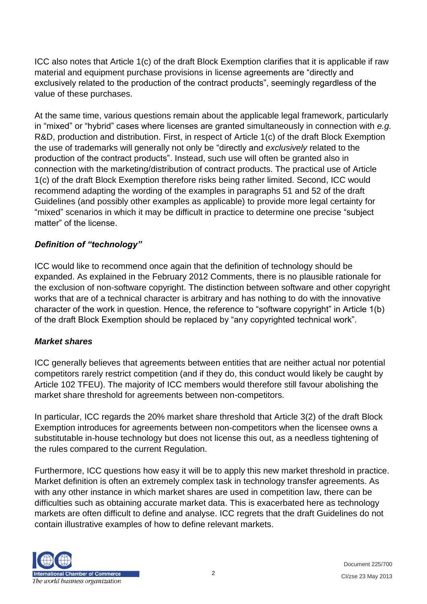ICC also notes that Article 1(c) of the draft Block Exemption clarifies that it is applicable if raw material and equipment purchase provisions in license agreements are "directly and exclusively related to the production of the contract products", seemingly regardless of the value of these purchases.

At the same time, various questions remain about the applicable legal framework, particularly in "mixed" or "hybrid" cases where licenses are granted simultaneously in connection with *e.g.* R&D, production and distribution. First, in respect of Article 1(c) of the draft Block Exemption the use of trademarks will generally not only be "directly and *exclusively* related to the production of the contract products". Instead, such use will often be granted also in connection with the marketing/distribution of contract products. The practical use of Article 1(c) of the draft Block Exemption therefore risks being rather limited. Second, ICC would recommend adapting the wording of the examples in paragraphs 51 and 52 of the draft Guidelines (and possibly other examples as applicable) to provide more legal certainty for "mixed" scenarios in which it may be difficult in practice to determine one precise "subject matter" of the license.

# *Definition of "technology"*

ICC would like to recommend once again that the definition of technology should be expanded. As explained in the February 2012 Comments, there is no plausible rationale for the exclusion of non-software copyright. The distinction between software and other copyright works that are of a technical character is arbitrary and has nothing to do with the innovative character of the work in question. Hence, the reference to "software copyright" in Article 1(b) of the draft Block Exemption should be replaced by "any copyrighted technical work".

### *Market shares*

ICC generally believes that agreements between entities that are neither actual nor potential competitors rarely restrict competition (and if they do, this conduct would likely be caught by Article 102 TFEU). The majority of ICC members would therefore still favour abolishing the market share threshold for agreements between non-competitors.

In particular, ICC regards the 20% market share threshold that Article 3(2) of the draft Block Exemption introduces for agreements between non-competitors when the licensee owns a substitutable in-house technology but does not license this out, as a needless tightening of the rules compared to the current Regulation.

Furthermore, ICC questions how easy it will be to apply this new market threshold in practice. Market definition is often an extremely complex task in technology transfer agreements. As with any other instance in which market shares are used in competition law, there can be difficulties such as obtaining accurate market data. This is exacerbated here as technology markets are often difficult to define and analyse. ICC regrets that the draft Guidelines do not contain illustrative examples of how to define relevant markets.

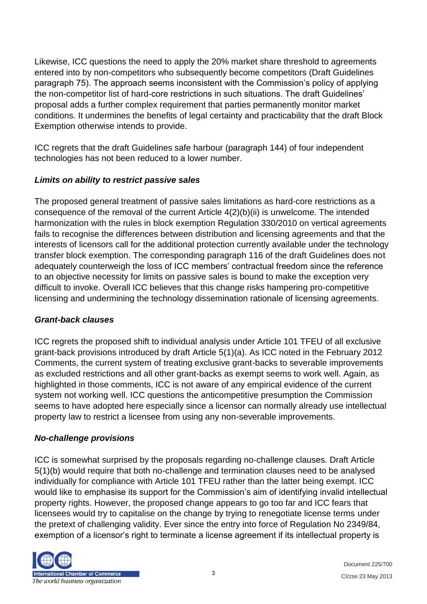Likewise, ICC questions the need to apply the 20% market share threshold to agreements entered into by non-competitors who subsequently become competitors (Draft Guidelines paragraph 75). The approach seems inconsistent with the Commission's policy of applying the non-competitor list of hard-core restrictions in such situations. The draft Guidelines' proposal adds a further complex requirement that parties permanently monitor market conditions. It undermines the benefits of legal certainty and practicability that the draft Block Exemption otherwise intends to provide.

ICC regrets that the draft Guidelines safe harbour (paragraph 144) of four independent technologies has not been reduced to a lower number.

# *Limits on ability to restrict passive sales*

The proposed general treatment of passive sales limitations as hard-core restrictions as a consequence of the removal of the current Article 4(2)(b)(ii) is unwelcome. The intended harmonization with the rules in block exemption Regulation 330/2010 on vertical agreements fails to recognise the differences between distribution and licensing agreements and that the interests of licensors call for the additional protection currently available under the technology transfer block exemption. The corresponding paragraph 116 of the draft Guidelines does not adequately counterweigh the loss of ICC members' contractual freedom since the reference to an objective necessity for limits on passive sales is bound to make the exception very difficult to invoke. Overall ICC believes that this change risks hampering pro-competitive licensing and undermining the technology dissemination rationale of licensing agreements.

### *Grant-back clauses*

ICC regrets the proposed shift to individual analysis under Article 101 TFEU of all exclusive grant-back provisions introduced by draft Article 5(1)(a). As ICC noted in the February 2012 Comments, the current system of treating exclusive grant-backs to severable improvements as excluded restrictions and all other grant-backs as exempt seems to work well. Again, as highlighted in those comments, ICC is not aware of any empirical evidence of the current system not working well. ICC questions the anticompetitive presumption the Commission seems to have adopted here especially since a licensor can normally already use intellectual property law to restrict a licensee from using any non-severable improvements.

### *No-challenge provisions*

ICC is somewhat surprised by the proposals regarding no-challenge clauses. Draft Article 5(1)(b) would require that both no-challenge and termination clauses need to be analysed individually for compliance with Article 101 TFEU rather than the latter being exempt. ICC would like to emphasise its support for the Commission's aim of identifying invalid intellectual property rights. However, the proposed change appears to go too far and ICC fears that licensees would try to capitalise on the change by trying to renegotiate license terms under the pretext of challenging validity. Ever since the entry into force of Regulation No 2349/84, exemption of a licensor's right to terminate a license agreement if its intellectual property is

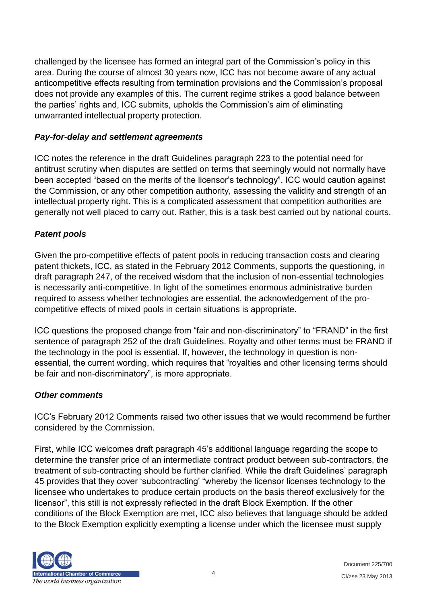challenged by the licensee has formed an integral part of the Commission's policy in this area. During the course of almost 30 years now, ICC has not become aware of any actual anticompetitive effects resulting from termination provisions and the Commission's proposal does not provide any examples of this. The current regime strikes a good balance between the parties' rights and, ICC submits, upholds the Commission's aim of eliminating unwarranted intellectual property protection.

#### *Pay-for-delay and settlement agreements*

ICC notes the reference in the draft Guidelines paragraph 223 to the potential need for antitrust scrutiny when disputes are settled on terms that seemingly would not normally have been accepted "based on the merits of the licensor's technology". ICC would caution against the Commission, or any other competition authority, assessing the validity and strength of an intellectual property right. This is a complicated assessment that competition authorities are generally not well placed to carry out. Rather, this is a task best carried out by national courts.

### *Patent pools*

Given the pro-competitive effects of patent pools in reducing transaction costs and clearing patent thickets, ICC, as stated in the February 2012 Comments, supports the questioning, in draft paragraph 247, of the received wisdom that the inclusion of non-essential technologies is necessarily anti-competitive. In light of the sometimes enormous administrative burden required to assess whether technologies are essential, the acknowledgement of the procompetitive effects of mixed pools in certain situations is appropriate.

ICC questions the proposed change from "fair and non-discriminatory" to "FRAND" in the first sentence of paragraph 252 of the draft Guidelines. Royalty and other terms must be FRAND if the technology in the pool is essential. If, however, the technology in question is nonessential, the current wording, which requires that "royalties and other licensing terms should be fair and non-discriminatory", is more appropriate.

#### *Other comments*

ICC's February 2012 Comments raised two other issues that we would recommend be further considered by the Commission.

First, while ICC welcomes draft paragraph 45's additional language regarding the scope to determine the transfer price of an intermediate contract product between sub-contractors, the treatment of sub-contracting should be further clarified. While the draft Guidelines' paragraph 45 provides that they cover 'subcontracting' "whereby the licensor licenses technology to the licensee who undertakes to produce certain products on the basis thereof exclusively for the licensor", this still is not expressly reflected in the draft Block Exemption. If the other conditions of the Block Exemption are met, ICC also believes that language should be added to the Block Exemption explicitly exempting a license under which the licensee must supply